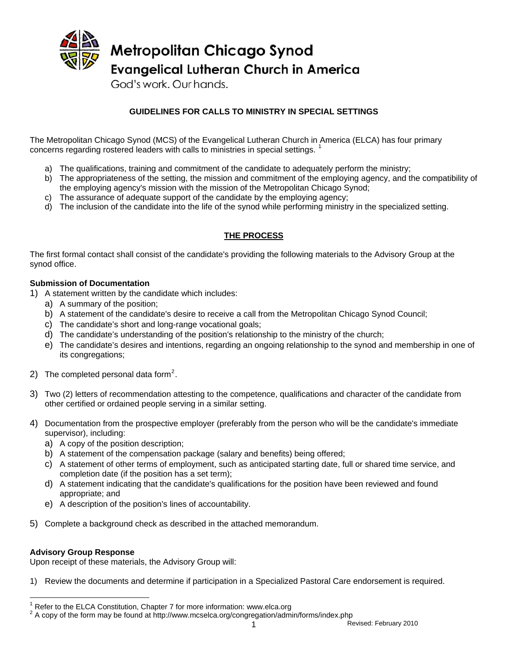

God's work. Our hands.

# **GUIDELINES FOR CALLS TO MINISTRY IN SPECIAL SETTINGS**

The Metropolitan Chicago Synod (MCS) of the Evangelical Lutheran Church in America (ELCA) has four primary concerns regarding rostered leaders with calls to ministries in special settings. [1](#page-0-0)

- a) The qualifications, training and commitment of the candidate to adequately perform the ministry;
- b) The appropriateness of the setting, the mission and commitment of the employing agency, and the compatibility of the employing agency's mission with the mission of the Metropolitan Chicago Synod;
- c) The assurance of adequate support of the candidate by the employing agency;
- d) The inclusion of the candidate into the life of the synod while performing ministry in the specialized setting.

# **THE PROCESS**

The first formal contact shall consist of the candidate's providing the following materials to the Advisory Group at the synod office.

## **Submission of Documentation**

- 1) A statement written by the candidate which includes:
	- a) A summary of the position;
	- b) A statement of the candidate's desire to receive a call from the Metropolitan Chicago Synod Council;
	- c) The candidate's short and long-range vocational goals;
	- d) The candidate's understanding of the position's relationship to the ministry of the church;
	- e) The candidate's desires and intentions, regarding an ongoing relationship to the synod and membership in one of its congregations;
- [2](#page-0-1)) The completed personal data form<sup>2</sup>.
- 3) Two (2) letters of recommendation attesting to the competence, qualifications and character of the candidate from other certified or ordained people serving in a similar setting.
- 4) Documentation from the prospective employer (preferably from the person who will be the candidate's immediate supervisor), including:
	- a) A copy of the position description;
	- b) A statement of the compensation package (salary and benefits) being offered;
	- c) A statement of other terms of employment, such as anticipated starting date, full or shared time service, and completion date (if the position has a set term);
	- d) A statement indicating that the candidate's qualifications for the position have been reviewed and found appropriate; and
	- e) A description of the position's lines of accountability.
- 5) Complete a background check as described in the attached memorandum.

#### **Advisory Group Response**

Upon receipt of these materials, the Advisory Group will:

1) Review the documents and determine if participation in a Specialized Pastoral Care endorsement is required.

<span id="page-0-0"></span> 1 Refer to the ELCA Constitution, Chapter 7 for more information: www.elca.org

<span id="page-0-1"></span><sup>1</sup> Revised: February 2010  $2$  A copy of the form may be found at http://www.mcselca.org/congregation/admin/forms/index.php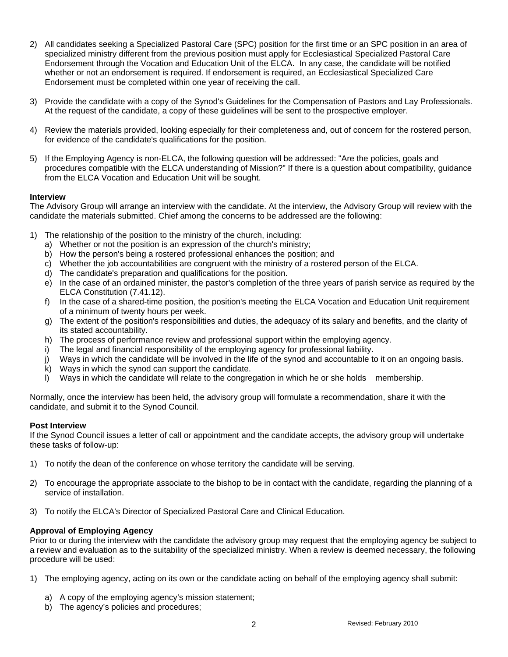- 2) All candidates seeking a Specialized Pastoral Care (SPC) position for the first time or an SPC position in an area of specialized ministry different from the previous position must apply for Ecclesiastical Specialized Pastoral Care Endorsement through the Vocation and Education Unit of the ELCA. In any case, the candidate will be notified whether or not an endorsement is required. If endorsement is required, an Ecclesiastical Specialized Care Endorsement must be completed within one year of receiving the call.
- 3) Provide the candidate with a copy of the Synod's Guidelines for the Compensation of Pastors and Lay Professionals. At the request of the candidate, a copy of these guidelines will be sent to the prospective employer.
- 4) Review the materials provided, looking especially for their completeness and, out of concern for the rostered person, for evidence of the candidate's qualifications for the position.
- 5) If the Employing Agency is non-ELCA, the following question will be addressed: "Are the policies, goals and procedures compatible with the ELCA understanding of Mission?" If there is a question about compatibility, guidance from the ELCA Vocation and Education Unit will be sought.

## **Interview**

The Advisory Group will arrange an interview with the candidate. At the interview, the Advisory Group will review with the candidate the materials submitted. Chief among the concerns to be addressed are the following:

- 1) The relationship of the position to the ministry of the church, including:
	- a) Whether or not the position is an expression of the church's ministry;
	- b) How the person's being a rostered professional enhances the position; and
	- c) Whether the job accountabilities are congruent with the ministry of a rostered person of the ELCA.
	- d) The candidate's preparation and qualifications for the position.
	- e) In the case of an ordained minister, the pastor's completion of the three years of parish service as required by the ELCA Constitution (7.41.12).
	- f) In the case of a shared-time position, the position's meeting the ELCA Vocation and Education Unit requirement of a minimum of twenty hours per week.
	- g) The extent of the position's responsibilities and duties, the adequacy of its salary and benefits, and the clarity of its stated accountability.
	- h) The process of performance review and professional support within the employing agency.
	- i) The legal and financial responsibility of the employing agency for professional liability.
	- j) Ways in which the candidate will be involved in the life of the synod and accountable to it on an ongoing basis.
	- k) Ways in which the synod can support the candidate.
	- l) Ways in which the candidate will relate to the congregation in which he or she holds membership.

Normally, once the interview has been held, the advisory group will formulate a recommendation, share it with the candidate, and submit it to the Synod Council.

#### **Post Interview**

If the Synod Council issues a letter of call or appointment and the candidate accepts, the advisory group will undertake these tasks of follow-up:

- 1) To notify the dean of the conference on whose territory the candidate will be serving.
- 2) To encourage the appropriate associate to the bishop to be in contact with the candidate, regarding the planning of a service of installation.
- 3) To notify the ELCA's Director of Specialized Pastoral Care and Clinical Education.

#### **Approval of Employing Agency**

Prior to or during the interview with the candidate the advisory group may request that the employing agency be subject to a review and evaluation as to the suitability of the specialized ministry. When a review is deemed necessary, the following procedure will be used:

- 1) The employing agency, acting on its own or the candidate acting on behalf of the employing agency shall submit:
	- a) A copy of the employing agency's mission statement;
	- b) The agency's policies and procedures;